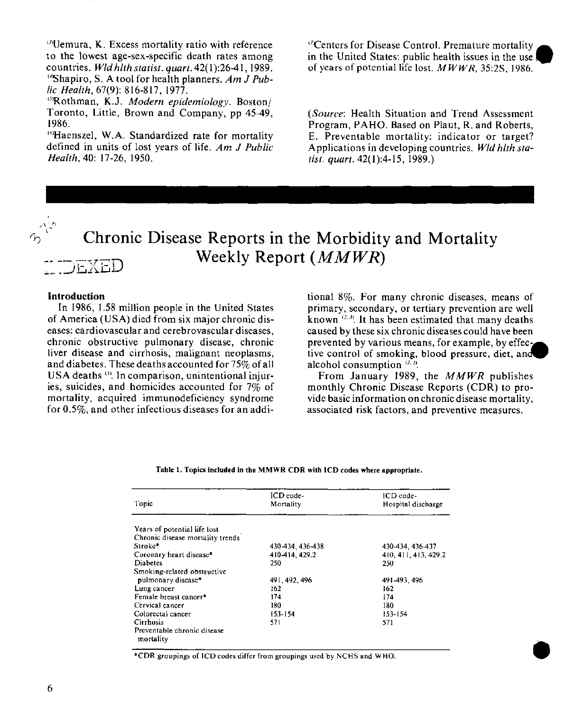$\theta$ Uemura, K. Excess mortality ratio with reference to the lowest age-sex-specific death rates among countries. *Wld hlth statist. quart.* 42(1):26-41, 1989. 4Shapiro, S. A tool for health planners. *Am J Public Health,* 67(9): 816-817, 1977.

5 'Rothman, K.J. *Modern epidemiology.* Boston/ Toronto, Little, Brown and Company, pp 45-49, 1986.

' 6'Haenszel, W.A. Standardized rate for mortality defined in units of lost years of life. *Am J Public Health,* 40: 17-26, 1950.

7 "Centers for Disease Control. Premature mortality in the United States: public health issues in the use of years of potential life lost. *M WWR,* 35:2S, 1986.

*(Source:* Health Situation and Trend Assessment Program, PAHO. Based on Plaut, R. and Roberts, E. Preventable mortality: indicator or target? Applications in developing countries. *Wld hlth statist. quart.* 42(1):4-15, 1989.)

# **Chronic Disease Reports in the Morbidity and Mortality Weekly Report** *(MMWR)* FXED

#### **Introduction**

In 1986, 1.58 million people in the United States of America (USA) died from six major chronic diseases: cardiovascular and cerebrovascular diseases, chronic obstructive pulmonary disease, chronic liver disease and cirrhosis, malignant neoplasms, and diabetes. These deaths accounted for 75% of all USA deaths (1). In comparison, unintentional injuries, suicides, and homicides accounted for 7% of mortality, acquired immunodeficiency syndrome for 0.5%, and other infectious diseases for an additional 8%. For many chronic diseases, means of primary, secondary, or tertiary prevention are well known<sup>(2, 3)</sup>. It has been estimated that many deaths caused by these six chronic diseases could have been prevented by various means, for example, by effective control of smoking, blood pressure, diet, and alcohol consumption *(2. 3.*

From January 1989, the *MMWR* publishes monthly Chronic Disease Reports (CDR) to provide basic information on chronic disease mortality, associated risk factors, and preventive measures.

**.0**

**Table 1. Topics included in the MMWR CDR with ICD codes where appropriate.**

| Topic                            | ICD code-<br>Mortality | ICD code-<br>Hospital discharge |
|----------------------------------|------------------------|---------------------------------|
|                                  |                        |                                 |
| Years of potential life lost     |                        |                                 |
| Chronic disease mortality trends |                        |                                 |
| Stroke*                          | 430-434, 436-438       | 430-434, 436-437                |
| Coronary heart disease*          | 410-414, 429.2         | 410.411.413.429.2               |
| <b>Diabetes</b>                  | 250                    | 250                             |
| Smoking-related obstructive      |                        |                                 |
| pulmonary disease*               | 491, 492, 496          | 491-493.496                     |
| Lung cancer                      | 162                    | 162                             |
| Female breast cancer*            | 174                    | 174                             |
| Cervical cancer                  | 180                    | 180                             |
| Colorectal cancer                | 153-154                | 153-154                         |
| Cirrhosis                        | 571                    | 571                             |
| Preventable chronic disease      |                        |                                 |
| mortality                        |                        |                                 |

\*CDR groupings of ICD codes differ from groupings used by NCHS and WHO.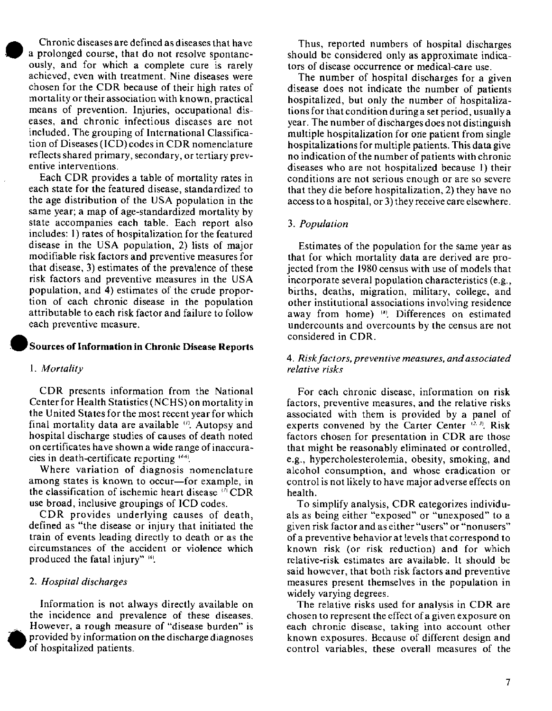Chronic diseases are defined as diseases that have a prolonged course, that do not resolve spontaneously, and for which a complete cure is rarely achieved, even with treatment. Nine diseases were chosen for the CDR because of their high rates of mortality or their association with known, practical means of prevention. Injuries, occupational diseases, and chronic infectious diseases are not included. The grouping of International Classification of Diseases (ICD) codes in CDR nomenclature reflects shared primary, secondary, or tertiary preventive interventions.

Each CDR provides a table of mortality rates in each state for the featured disease, standardized to the age distribution of the USA population in the same year; a map of age-standardized mortality by state accompanies each table. Each report also includes: 1) rates of hospitalization for the featured disease in the USA population, 2) lists of major modifiable risk factors and preventive measures for that disease, 3) estimates of the prevalence of these risk factors and preventive measures in the USA population, and 4) estimates of the crude proportion of each chronic disease in the population attributable to each risk factor and failure to follow each preventive measure.

## **Sources of Information in Chronic Disease Reports**

#### *1. Mortality*

CDR presents information from the National Center for Health Statistics (NCHS) on mortality in the United States for the most recent year for which final mortality data are available  $(0)$ . Autopsy and hospital discharge studies of causes of death noted on certificates have shown a wide range of inaccuracies in death-certificate reporting  $(4-6)$ .

Where variation of diagnosis nomenclature among states is known to occur-for example, in the classification of ischemic heart disease  $\{v\}$  CDR use broad, inclusive groupings of ICD codes.

CDR provides underlying causes of death, defined as "the disease or injury that initiated the train of events leading directly to death or as the circumstances of the accident or violence which produced the fatal injury" [6].

## *2. Hospital discharges*

Information is not always directly available on the incidence and prevalence of these diseases. However, a rough measure of "disease burden" is provided by information on the discharge diagnoses of hospitalized patients.

Thus, reported numbers of hospital discharges should be considered only as approximate indicators of disease occurrence or medical-care use.

The number of hospital discharges for a given disease does not indicate the number of patients hospitalized, but only the number of hospitalizations for that condition during a set period, usually a year. The number of discharges does not distinguish multiple hospitalization for one patient from single hospitalizations for multiple patients. This data give no indication of the number of patients with chronic diseases who are not hospitalized because 1) their conditions are not serious enough or are so severe that they die before hospitalization, 2) they have no access to a hospital, or 3) they receive care elsewhere.

#### *3. Population*

Estimates of the population for the same year as that for which mortality data are derived are projected from the 1980 census with use of models that incorporate several population characteristics (e.g., births, deaths, migration, military, college, and other institutional associations involving residence away from home) (a). Differences on estimated undercounts and overcounts by the census are not considered in CDR.

## *4. Riskfactors, preventive measures, and associated relative risks*

For each chronic disease, information on risk factors, preventive measures, and the relative risks associated with them is provided by a panel of experts convened by the Carter Center  $(2.3)$ . Risk factors chosen for presentation in CDR are those that might be reasonably eliminated or controlled, e.g., hypercholesterolemia, obesity, smoking, and alcohol consumption, and whose eradication or control is not likely to have major adverse effects on health.

To simplify analysis, CDR categorizes individuals as being either "exposed" or "unexposed" to a given risk factor and as either "users" or "nonusers" of a preventive behavior at levels that correspond to known risk (or risk reduction) and for which relative-risk estimates are available. It should be said however, that both risk factors and preventive measures present themselves in the population in widely varying degrees.

The relative risks used for analysis in CDR are chosen to represent the effect of a given exposure on each chronic disease, taking into account other known exposures. Because of different design and control variables, these overall measures of the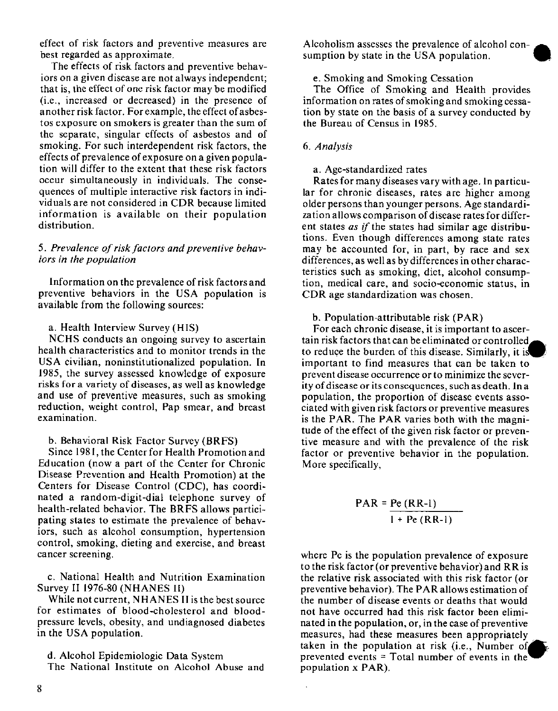effect of risk factors and preventive measures are best regarded as approximate.

The effects of risk factors and preventive behaviors on a given disease are not always independent; that is, the effect of one risk factor may be modified (i.e., increased or decreased) in the presence of another risk factor. For example, the effect of asbestos exposure on smokers is greater than the sum of the separate, singular effects of asbestos and of smoking. For such interdependent risk factors, the effects of prevalence of exposure on a given population will differ to the extent that these risk factors occur simultaneously in individuals. The consequences of multiple interactive risk factors in individuals are not considered in CDR because limited information is available on their population distribution.

## 5. Prevalence of risk factors and preventive behav*iors in the population*

Information on the prevalence of risk factors and preventive behaviors in the USA population is available from the following sources:

### a. Health Interview Survey (HIS)

NCHS conducts an ongoing survey to ascertain health characteristics and to monitor trends in the USA civilian, noninstitutionalized population. In 1985, the survey assessed knowledge of exposure risks for a variety of diseases, as well as knowledge and use of preventive measures, such as smoking reduction, weight control, Pap smear, and breast examination.

## b. Behavioral Risk Factor Survey (BRFS)

Since 1981, the Center for Health Promotion and Education (now a part of the Center for Chronic Disease Prevention and Health Promotion) at the Centers for Disease Control (CDC), has coordinated a random-digit-dial telephone survey of health-related behavior. The BRFS allows participating states to estimate the prevalence of behaviors, such as alcohol consumption, hypertension control, smoking, dieting and exercise, and breast cancer screening.

c. National Health and Nutrition Examination Survey II 1976-80 (NHANES II)

While not current, NHANES II is the best source for estimates of blood-cholesterol and bloodpressure levels, obesity, and undiagnosed diabetes in the USA population.

d. Alcohol Epidemiologic Data System The National Institute on Alcohol Abuse and

Alcoholism assesses the prevalence of alcohol consumption by state in the USA population.

## e. Smoking and Smoking Cessation

The Office of Smoking and Health provides information on rates of smoking and smoking cessation by state on the basis of a survey conducted by the Bureau of Census in 1985.

# *6. Analysis*

#### a. Age-standardized rates

Rates for many diseases vary with age. In particular for chronic diseases, rates are higher among older persons than younger persons. Age standardization allows comparison of disease rates for different states *as if* the states had similar age distributions. Even though differences among state rates may be accounted for, in part, by race and sex differences, as well as by differences in other characteristics such as smoking, diet, alcohol consumption, medical care, and socio-economic status, in CDR age standardization was chosen.

#### b. Population-attributable risk (PAR)

For each chronic disease, it is important to ascertain risk factors that can be eliminated or controlled\_. to reduce the burden of this disease. Similarly, it is important to find measures that can be taken to prevent disease occurrence or to minimize the severity of disease or its consequences, such as death. In a population, the proportion of disease events associated with given risk factors or preventive measures is the PAR. The PAR varies both with the magnitude of the effect of the given risk factor or preventive measure and with the prevalence of the risk factor or preventive behavior in the population. More specifically,

$$
PAR = \frac{Pe (RR-1)}{1 + Pe (RR-1)}
$$

where Pe is the population prevalence of exposure to the risk factor (or preventive behavior) and RR is the relative risk associated with this risk factor (or preventive behavior). The PAR allows estimation of the number of disease events or deaths that would not have occurred had this risk factor been eliminated in the population, or, in the case of preventive measures, had these measures been appropriately taken in the population at risk (i.e., Number of prevented events  $=$  Total number of events in the population x PAR).